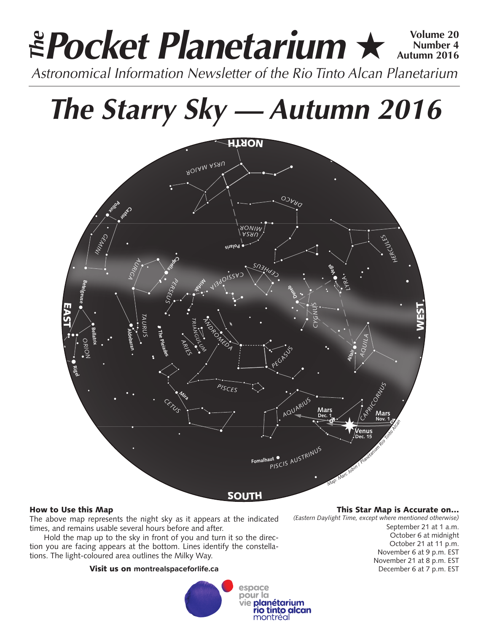# **Pocket Planetarium ★**  $\frac{Volume 20}{Number 4}$ **Number 4 Autumn 2016 Astronomical Information Newsletter of the Rio Tinto Alcan Planetarium**<br>Astronomical Information Newsletter of the Rio Tinto Alcan Planetarium

# *The Starry Sky — Autumn 2016*



# How to Use this Map

The above map represents the night sky as it appears at the indicated times, and remains usable several hours before and after.

Hold the map up to the sky in front of you and turn it so the direction you are facing appears at the bottom. Lines identify the constellations. The light-coloured area outlines the Milky Way.

# Visit us on **montrealspaceforlife.ca**



# This Star Map is Accurate on…

*(Eastern Daylight Time, except where mentioned otherwise)*

September 21 at 1 a.m. October 6 at midnight October 21 at 11 p.m. November 6 at 9 p.m. EST November 21 at 8 p.m. EST December 6 at 7 p.m. EST